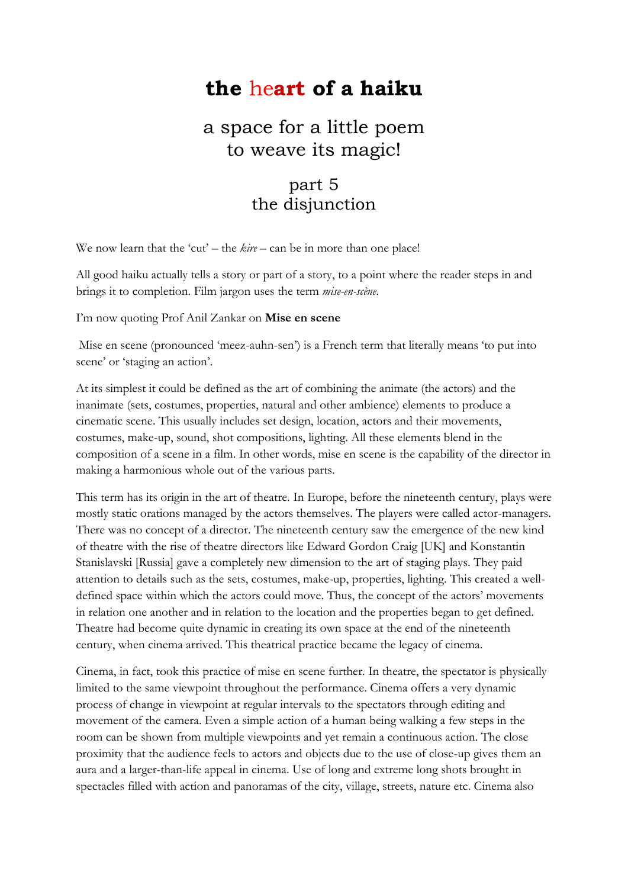## **the** he**art of a haiku**

## a space for a little poem to weave its magic!

## part 5 the disjunction

We now learn that the 'cut' – the *kire* – can be in more than one place!

All good haiku actually tells a story or part of a story, to a point where the reader steps in and brings it to completion. Film jargon uses the term *mise-en-scène*.

I'm now quoting Prof Anil Zankar on **Mise en scene**

Mise en scene (pronounced 'meez-auhn-sen') is a French term that literally means 'to put into scene' or 'staging an action'.

At its simplest it could be defined as the art of combining the animate (the actors) and the inanimate (sets, costumes, properties, natural and other ambience) elements to produce a cinematic scene. This usually includes set design, location, actors and their movements, costumes, make-up, sound, shot compositions, lighting. All these elements blend in the composition of a scene in a film. In other words, mise en scene is the capability of the director in making a harmonious whole out of the various parts.

This term has its origin in the art of theatre. In Europe, before the nineteenth century, plays were mostly static orations managed by the actors themselves. The players were called actor-managers. There was no concept of a director. The nineteenth century saw the emergence of the new kind of theatre with the rise of theatre directors like Edward Gordon Craig [UK] and Konstantin Stanislavski [Russia] gave a completely new dimension to the art of staging plays. They paid attention to details such as the sets, costumes, make-up, properties, lighting. This created a welldefined space within which the actors could move. Thus, the concept of the actors' movements in relation one another and in relation to the location and the properties began to get defined. Theatre had become quite dynamic in creating its own space at the end of the nineteenth century, when cinema arrived. This theatrical practice became the legacy of cinema.

Cinema, in fact, took this practice of mise en scene further. In theatre, the spectator is physically limited to the same viewpoint throughout the performance. Cinema offers a very dynamic process of change in viewpoint at regular intervals to the spectators through editing and movement of the camera. Even a simple action of a human being walking a few steps in the room can be shown from multiple viewpoints and yet remain a continuous action. The close proximity that the audience feels to actors and objects due to the use of close-up gives them an aura and a larger-than-life appeal in cinema. Use of long and extreme long shots brought in spectacles filled with action and panoramas of the city, village, streets, nature etc. Cinema also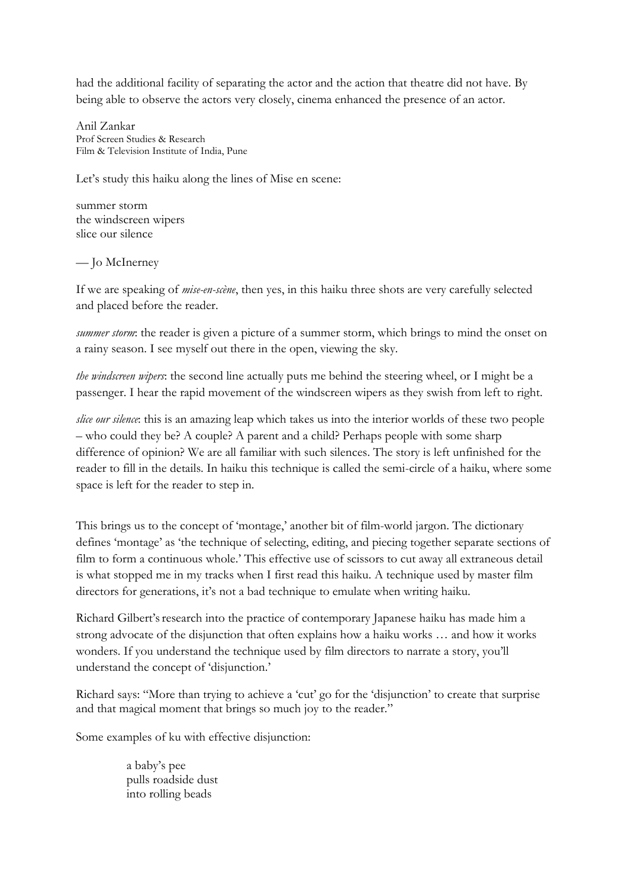had the additional facility of separating the actor and the action that theatre did not have. By being able to observe the actors very closely, cinema enhanced the presence of an actor.

Anil Zankar Prof Screen Studies & Research Film & Television Institute of India, Pune

Let's study this haiku along the lines of Mise en scene:

summer storm the windscreen wipers slice our silence

— Jo McInerney

If we are speaking of *mise-en-scène*, then yes, in this haiku three shots are very carefully selected and placed before the reader.

*summer storm*: the reader is given a picture of a summer storm, which brings to mind the onset on a rainy season. I see myself out there in the open, viewing the sky.

*the windscreen wipers*: the second line actually puts me behind the steering wheel, or I might be a passenger. I hear the rapid movement of the windscreen wipers as they swish from left to right.

*slice our silence*: this is an amazing leap which takes us into the interior worlds of these two people – who could they be? A couple? A parent and a child? Perhaps people with some sharp difference of opinion? We are all familiar with such silences. The story is left unfinished for the reader to fill in the details. In haiku this technique is called the semi-circle of a haiku, where some space is left for the reader to step in.

This brings us to the concept of 'montage,' another bit of film-world jargon. The dictionary defines 'montage' as 'the technique of selecting, editing, and piecing together separate sections of film to form a continuous whole.' This effective use of scissors to cut away all extraneous detail is what stopped me in my tracks when I first read this haiku. A technique used by master film directors for generations, it's not a bad technique to emulate when writing haiku.

Richard Gilbert's research into the practice of contemporary Japanese haiku has made him a strong advocate of the disjunction that often explains how a haiku works … and how it works wonders. If you understand the technique used by film directors to narrate a story, you'll understand the concept of 'disjunction.'

Richard says: "More than trying to achieve a 'cut' go for the 'disjunction' to create that surprise and that magical moment that brings so much joy to the reader."

Some examples of ku with effective disjunction:

 a baby's pee pulls roadside dust into rolling beads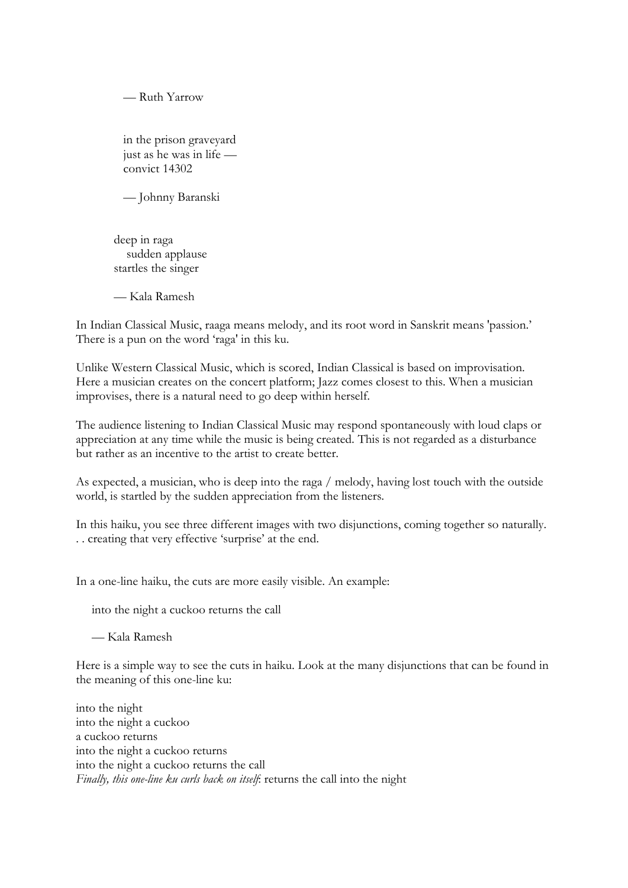— Ruth Yarrow

 in the prison graveyard just as he was in life convict 14302

— Johnny Baranski

 deep in raga sudden applause startles the singer

— Kala Ramesh

In Indian Classical Music, raaga means melody, and its root word in Sanskrit means 'passion.' There is a pun on the word 'raga' in this ku.

Unlike Western Classical Music, which is scored, Indian Classical is based on improvisation. Here a musician creates on the concert platform; Jazz comes closest to this. When a musician improvises, there is a natural need to go deep within herself.

The audience listening to Indian Classical Music may respond spontaneously with loud claps or appreciation at any time while the music is being created. This is not regarded as a disturbance but rather as an incentive to the artist to create better.

As expected, a musician, who is deep into the raga / melody, having lost touch with the outside world, is startled by the sudden appreciation from the listeners.

In this haiku, you see three different images with two disjunctions, coming together so naturally. . . creating that very effective 'surprise' at the end.

In a one-line haiku, the cuts are more easily visible. An example:

into the night a cuckoo returns the call

— Kala Ramesh

Here is a simple way to see the cuts in haiku. Look at the many disjunctions that can be found in the meaning of this one-line ku:

into the night into the night a cuckoo a cuckoo returns into the night a cuckoo returns into the night a cuckoo returns the call *Finally, this one-line ku curls back on itself*: returns the call into the night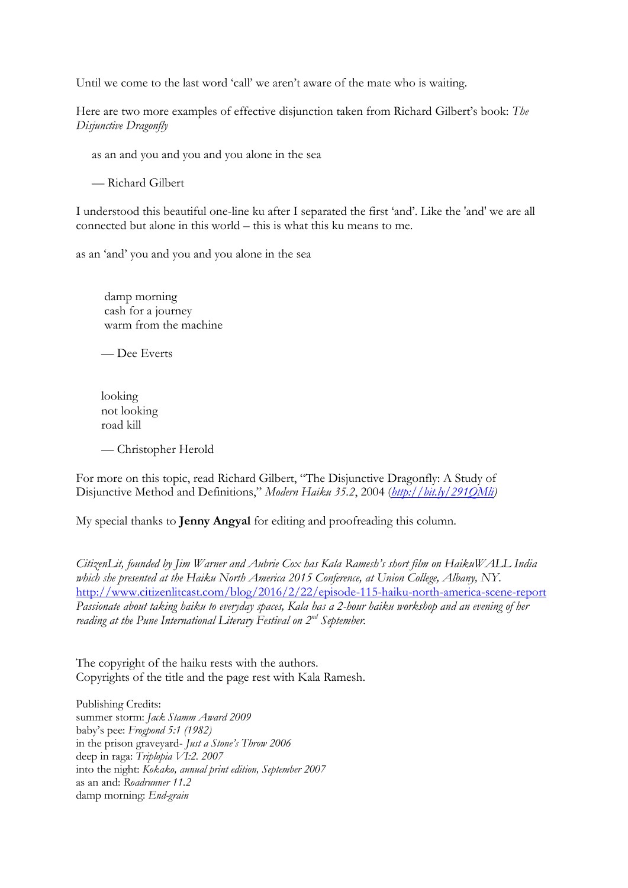Until we come to the last word 'call' we aren't aware of the mate who is waiting.

Here are two more examples of effective disjunction taken from Richard Gilbert's book: *The Disjunctive Dragonfly*

as an and you and you and you alone in the sea

— Richard Gilbert

I understood this beautiful one-line ku after I separated the first 'and'. Like the 'and' we are all connected but alone in this world – this is what this ku means to me.

as an 'and' you and you and you alone in the sea

 damp morning cash for a journey warm from the machine

— Dee Everts

 looking not looking road kill

— Christopher Herold

For more on this topic, read Richard Gilbert, "The Disjunctive Dragonfly: A Study of Disjunctive Method and Definitions," *Modern Haiku 35.2*, 2004 (*[http://bit.ly/291QMli\)](http://bit.ly/291QMli)*

My special thanks to **Jenny Angyal** for editing and proofreading this column.

*CitizenLit, founded by Jim Warner and Aubrie Cox has Kala Ramesh's short film on HaikuWALL India which she presented at the Haiku North America 2015 Conference, at Union College, Albany, NY.* <http://www.citizenlitcast.com/blog/2016/2/22/episode-115-haiku-north-america-scene-report> *Passionate about taking haiku to everyday spaces, Kala has a 2-hour haiku workshop and an evening of her reading at the Pune International Literary Festival on 2nd September.*

The copyright of the haiku rests with the authors. Copyrights of the title and the page rest with Kala Ramesh.

Publishing Credits: summer storm: *Jack Stamm Award 2009* baby's pee: *Frogpond 5:1 (1982)* in the prison graveyard- *Just a Stone's Throw 2006* deep in raga: *Triplopia VI:2. 2007* into the night: *Kokako, annual print edition, September 2007* as an and: *Roadrunner 11.2* damp morning: *End-grain*